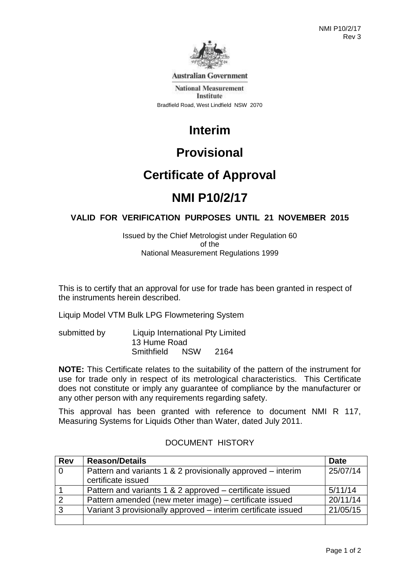

**Australian Government** 

**National Measurement** Institute Bradfield Road, West Lindfield NSW 2070

# **Interim**

# **Provisional**

# **Certificate of Approval**

# **NMI P10/2/17**

## **VALID FOR VERIFICATION PURPOSES UNTIL 21 NOVEMBER 2015**

Issued by the Chief Metrologist under Regulation 60 of the National Measurement Regulations 1999

This is to certify that an approval for use for trade has been granted in respect of the instruments herein described.

Liquip Model VTM Bulk LPG Flowmetering System

submitted by Liquip International Pty Limited 13 Hume Road Smithfield NSW 2164

**NOTE:** This Certificate relates to the suitability of the pattern of the instrument for use for trade only in respect of its metrological characteristics. This Certificate does not constitute or imply any guarantee of compliance by the manufacturer or any other person with any requirements regarding safety.

This approval has been granted with reference to document NMI R 117, Measuring Systems for Liquids Other than Water, dated July 2011.

| <b>Rev</b>     | <b>Reason/Details</b>                                                             | <b>Date</b> |
|----------------|-----------------------------------------------------------------------------------|-------------|
| $\overline{0}$ | Pattern and variants 1 & 2 provisionally approved – interim<br>certificate issued | 25/07/14    |
|                | Pattern and variants 1 & 2 approved – certificate issued                          | 5/11/14     |
|                |                                                                                   |             |
| $\overline{2}$ | Pattern amended (new meter image) – certificate issued                            | 20/11/14    |
| $\mathbf{3}$   | Variant 3 provisionally approved - interim certificate issued                     | 21/05/15    |
|                |                                                                                   |             |

## DOCUMENT HISTORY